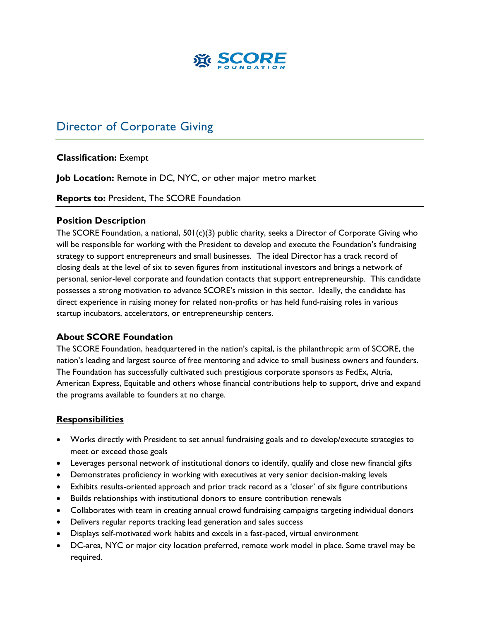

# Director of Corporate Giving

## **Classification:** Exempt

**Job Location:** Remote in DC, NYC, or other major metro market

**Reports to:** President, The SCORE Foundation

#### **Position Description**

The SCORE Foundation, a national, 501(c)(3) public charity, seeks a Director of Corporate Giving who will be responsible for working with the President to develop and execute the Foundation's fundraising strategy to support entrepreneurs and small businesses. The ideal Director has a track record of closing deals at the level of six to seven figures from institutional investors and brings a network of personal, senior-level corporate and foundation contacts that support entrepreneurship. This candidate possesses a strong motivation to advance SCORE's mission in this sector. Ideally, the candidate has direct experience in raising money for related non-profits or has held fund-raising roles in various startup incubators, accelerators, or entrepreneurship centers.

#### **About SCORE Foundation**

The SCORE Foundation, headquartered in the nation's capital, is the philanthropic arm of SCORE, the nation's leading and largest source of free mentoring and advice to small business owners and founders. The Foundation has successfully cultivated such prestigious corporate sponsors as FedEx, Altria, American Express, Equitable and others whose financial contributions help to support, drive and expand the programs available to founders at no charge.

#### **Responsibilities**

- Works directly with President to set annual fundraising goals and to develop/execute strategies to meet or exceed those goals
- Leverages personal network of institutional donors to identify, qualify and close new financial gifts
- Demonstrates proficiency in working with executives at very senior decision-making levels
- Exhibits results-oriented approach and prior track record as a 'closer' of six figure contributions
- Builds relationships with institutional donors to ensure contribution renewals
- Collaborates with team in creating annual crowd fundraising campaigns targeting individual donors
- Delivers regular reports tracking lead generation and sales success
- Displays self-motivated work habits and excels in a fast-paced, virtual environment
- DC-area, NYC or major city location preferred, remote work model in place. Some travel may be required.